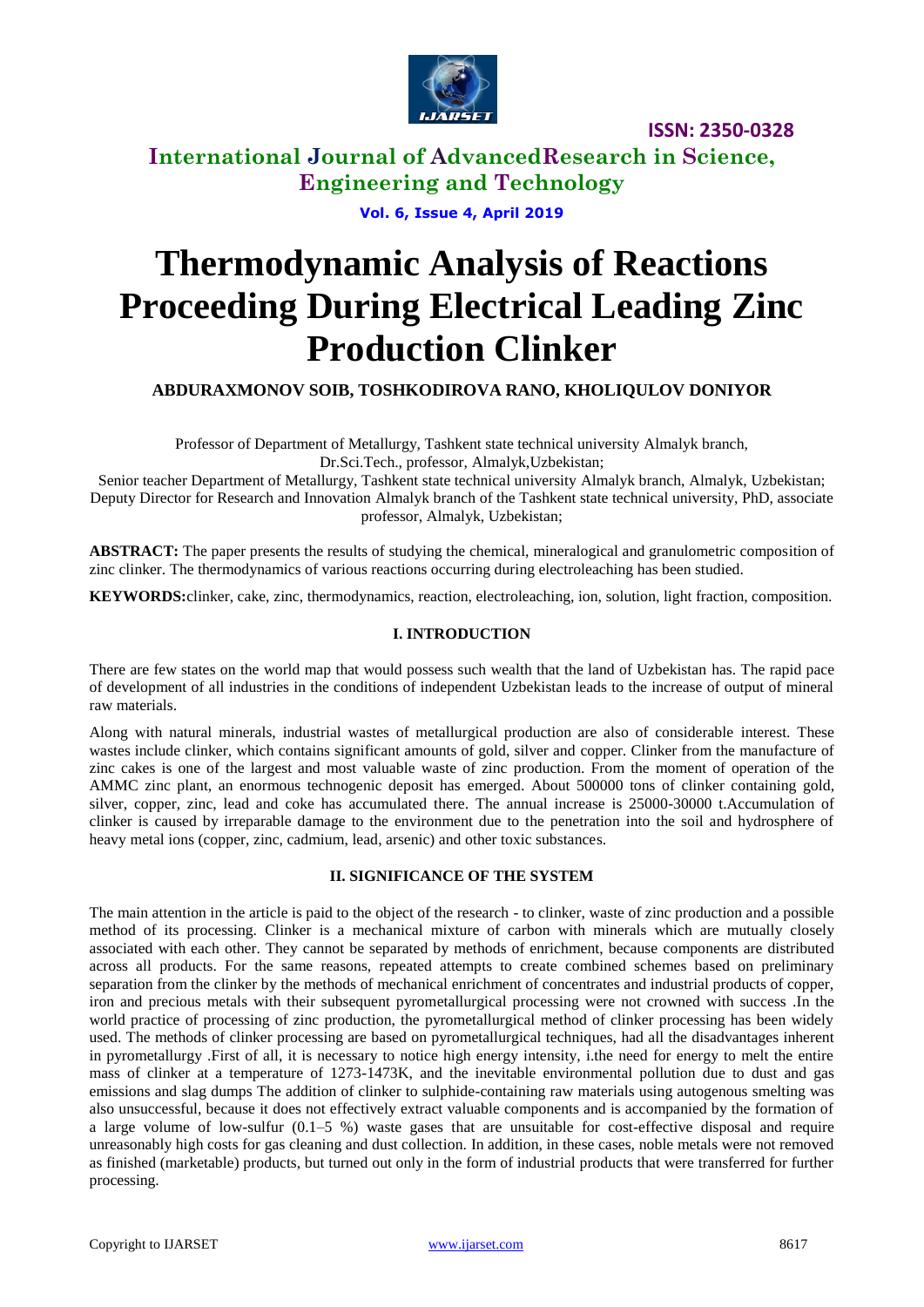

# **International Journal of AdvancedResearch in Science, Engineering and Technology**

**Vol. 6, Issue 4, April 2019**

# **Thermodynamic Analysis of Reactions Proceeding During Electrical Leading Zinc Production Clinker**

**ABDURAXMONOV SOIB, TOSHKODIROVA RANO, KHOLIQULOV DONIYOR**

Professor of Department of Metallurgy, Tashkent state technical university Almalyk branch, Dr.Sci.Tech., professor, Almalyk,Uzbekistan;

Senior teacher Department of Metallurgy, Tashkent state technical university Almalyk branch, Almalyk, Uzbekistan; Deputy Director for Research and Innovation Almalyk branch of the Tashkent state technical university, PhD, associate professor, Almalyk, Uzbekistan;

**ABSTRACT:** The paper presents the results of studying the chemical, mineralogical and granulometric composition of zinc clinker. The thermodynamics of various reactions occurring during electroleaching has been studied.

**KEYWORDS:**clinker, cake, zinc, thermodynamics, reaction, electroleaching, ion, solution, light fraction, composition.

#### **I. INTRODUCTION**

There are few states on the world map that would possess such wealth that the land of Uzbekistan has. The rapid pace of development of all industries in the conditions of independent Uzbekistan leads to the increase of output of mineral raw materials.

Along with natural minerals, industrial wastes of metallurgical production are also of considerable interest. These wastes include clinker, which contains significant amounts of gold, silver and copper. Clinker from the manufacture of zinc cakes is one of the largest and most valuable waste of zinc production. From the moment of operation of the AMMC zinc plant, an enormous technogenic deposit has emerged. About 500000 tons of clinker containing gold, silver, copper, zinc, lead and coke has accumulated there. The annual increase is 25000-30000 t.Accumulation of clinker is caused by irreparable damage to the environment due to the penetration into the soil and hydrosphere of heavy metal ions (copper, zinc, cadmium, lead, arsenic) and other toxic substances.

#### **II. SIGNIFICANCE OF THE SYSTEM**

The main attention in the article is paid to the object of the research - to clinker, waste of zinc production and a possible method of its processing. Clinker is a mechanical mixture of carbon with minerals which are mutually closely associated with each other. They cannot be separated by methods of enrichment, because components are distributed across all products. For the same reasons, repeated attempts to create combined schemes based on preliminary separation from the clinker by the methods of mechanical enrichment of concentrates and industrial products of copper, iron and precious metals with their subsequent pyrometallurgical processing were not crowned with success .In the world practice of processing of zinc production, the pyrometallurgical method of clinker processing has been widely used. The methods of clinker processing are based on pyrometallurgical techniques, had all the disadvantages inherent in pyrometallurgy .First of all, it is necessary to notice high energy intensity, i.the need for energy to melt the entire mass of clinker at a temperature of 1273-1473K, and the inevitable environmental pollution due to dust and gas emissions and slag dumps The addition of clinker to sulphide-containing raw materials using autogenous smelting was also unsuccessful, because it does not effectively extract valuable components and is accompanied by the formation of a large volume of low-sulfur (0.1–5 %) waste gases that are unsuitable for cost-effective disposal and require unreasonably high costs for gas cleaning and dust collection. In addition, in these cases, noble metals were not removed as finished (marketable) products, but turned out only in the form of industrial products that were transferred for further processing.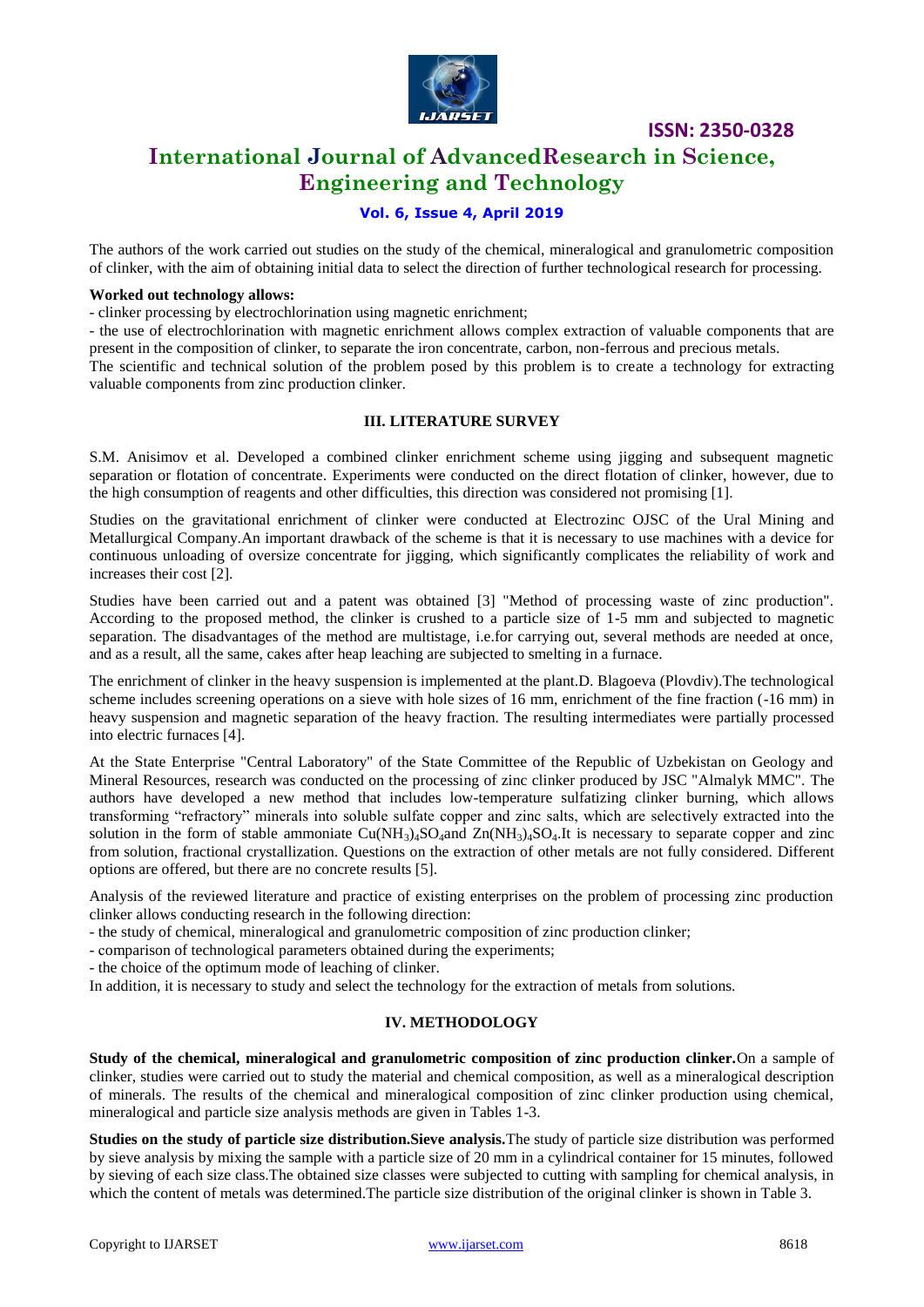

# **International Journal of AdvancedResearch in Science, Engineering and Technology**

## **Vol. 6, Issue 4, April 2019**

The authors of the work carried out studies on the study of the chemical, mineralogical and granulometric composition of clinker, with the aim of obtaining initial data to select the direction of further technological research for processing.

#### **Worked out technology allows:**

- clinker processing by electrochlorination using magnetic enrichment;

- the use of electrochlorination with magnetic enrichment allows complex extraction of valuable components that are present in the composition of clinker, to separate the iron concentrate, carbon, non-ferrous and precious metals. The scientific and technical solution of the problem posed by this problem is to create a technology for extracting

valuable components from zinc production clinker.

## **III. LITERATURE SURVEY**

S.M. Anisimov et al. Developed a combined clinker enrichment scheme using jigging and subsequent magnetic separation or flotation of concentrate. Experiments were conducted on the direct flotation of clinker, however, due to the high consumption of reagents and other difficulties, this direction was considered not promising [1].

Studies on the gravitational enrichment of clinker were conducted at Electrozinc OJSC of the Ural Mining and Metallurgical Company.An important drawback of the scheme is that it is necessary to use machines with a device for continuous unloading of oversize concentrate for jigging, which significantly complicates the reliability of work and increases their cost [2].

Studies have been carried out and a patent was obtained [3] "Method of processing waste of zinc production". According to the proposed method, the clinker is crushed to a particle size of 1-5 mm and subjected to magnetic separation. The disadvantages of the method are multistage, i.e.for carrying out, several methods are needed at once, and as a result, all the same, cakes after heap leaching are subjected to smelting in a furnace.

The enrichment of clinker in the heavy suspension is implemented at the plant.D. Blagoeva (Plovdiv).The technological scheme includes screening operations on a sieve with hole sizes of 16 mm, enrichment of the fine fraction (-16 mm) in heavy suspension and magnetic separation of the heavy fraction. The resulting intermediates were partially processed into electric furnaces [4].

At the State Enterprise "Central Laboratory" of the State Committee of the Republic of Uzbekistan on Geology and Mineral Resources, research was conducted on the processing of zinc clinker produced by JSC "Almalyk MMC". The authors have developed a new method that includes low-temperature sulfatizing clinker burning, which allows transforming "refractory" minerals into soluble sulfate copper and zinc salts, which are selectively extracted into the solution in the form of stable ammoniate  $Cu(NH_3)_4SO_4$  and  $Zn(NH_3)_4SO_4$ .It is necessary to separate copper and zinc from solution, fractional crystallization. Questions on the extraction of other metals are not fully considered. Different options are offered, but there are no concrete results [5].

Analysis of the reviewed literature and practice of existing enterprises on the problem of processing zinc production clinker allows conducting research in the following direction:

- the study of chemical, mineralogical and granulometric composition of zinc production clinker;

- сomparison of technological parameters obtained during the experiments;

- the choice of the optimum mode of leaching of clinker.

In addition, it is necessary to study and select the technology for the extraction of metals from solutions.

#### **IV. METHODOLOGY**

**Study of the chemical, mineralogical and granulometric composition of zinc production clinker.**On a sample of clinker, studies were carried out to study the material and chemical composition, as well as a mineralogical description of minerals. The results of the chemical and mineralogical composition of zinc clinker production using chemical, mineralogical and particle size analysis methods are given in Tables 1-3.

**Studies on the study of particle size distribution.Sieve analysis.**The study of particle size distribution was performed by sieve analysis by mixing the sample with a particle size of 20 mm in a cylindrical container for 15 minutes, followed by sieving of each size class.The obtained size classes were subjected to cutting with sampling for chemical analysis, in which the content of metals was determined. The particle size distribution of the original clinker is shown in Table 3.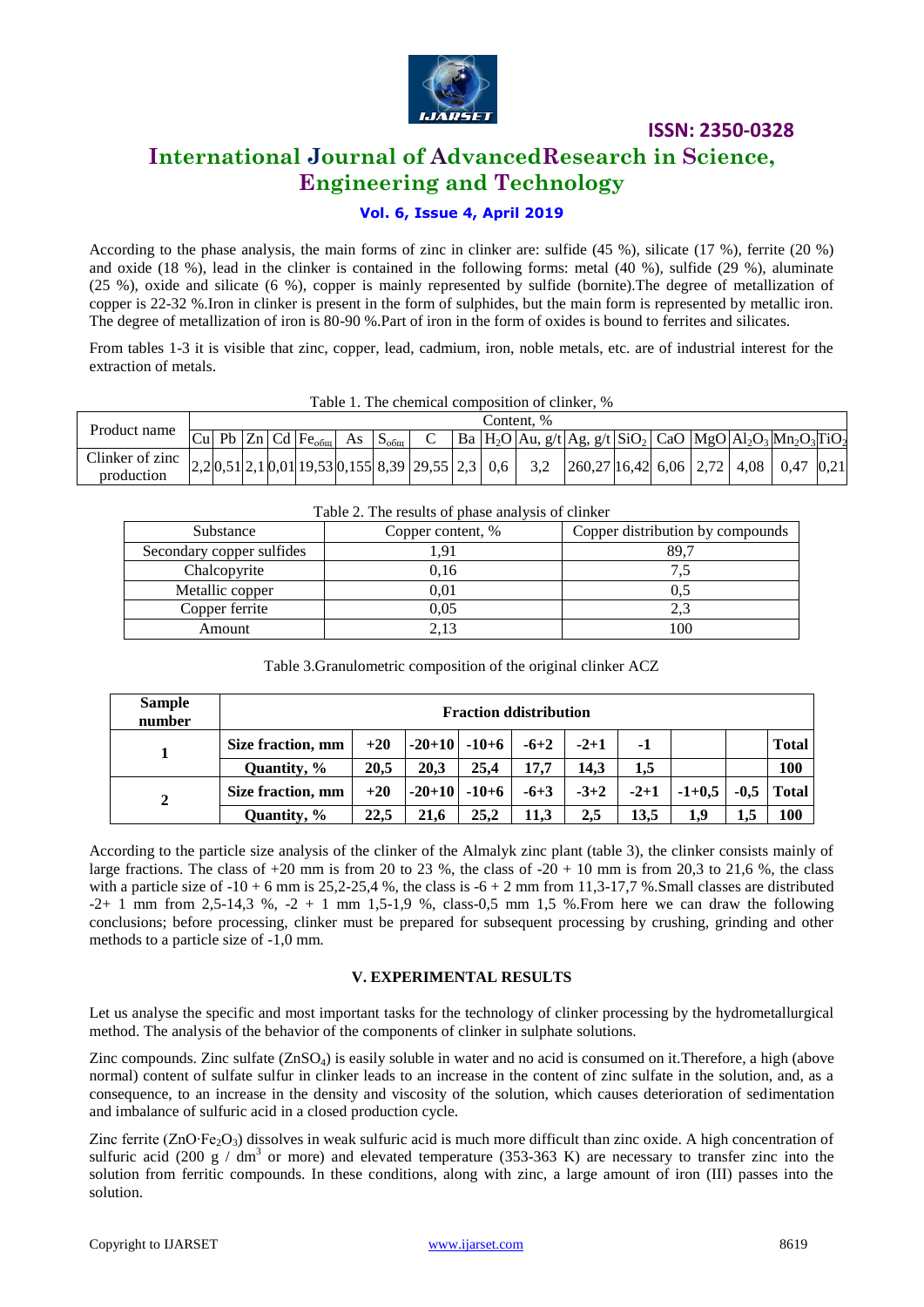

# **International Journal of AdvancedResearch in Science, Engineering and Technology**

## **Vol. 6, Issue 4, April 2019**

According to the phase analysis, the main forms of zinc in clinker are: sulfide (45 %), silicate (17 %), ferrite (20 %) and oxide (18 %), lead in the clinker is contained in the following forms: metal (40 %), sulfide (29 %), aluminate (25 %), oxide and silicate (6 %), copper is mainly represented by sulfide (bornite).The degree of metallization of copper is 22-32 %.Iron in clinker is present in the form of sulphides, but the main form is represented by metallic iron. The degree of metallization of iron is 80-90 %.Part of iron in the form of oxides is bound to ferrites and silicates.

From tables 1-3 it is visible that zinc, copper, lead, cadmium, iron, noble metals, etc. are of industrial interest for the extraction of metals.

|                               |            |  |  |                                 |    |                  |  |  |  |  | 1 acte 11 1116 chemical composition of chinesi. 70                                                                                                                                                                         |  |  |  |  |
|-------------------------------|------------|--|--|---------------------------------|----|------------------|--|--|--|--|----------------------------------------------------------------------------------------------------------------------------------------------------------------------------------------------------------------------------|--|--|--|--|
| Product name                  | Content. % |  |  |                                 |    |                  |  |  |  |  |                                                                                                                                                                                                                            |  |  |  |  |
|                               |            |  |  | Cu Pb Zn Cd Fe <sub>o6III</sub> | As | $S_{\text{ofm}}$ |  |  |  |  | $'$ Ba  H <sub>2</sub> O  Au, g/t  Ag, g/t  SiO <sub>2</sub>   CaO  MgO  Al <sub>2</sub> O <sub>3</sub>  Mn <sub>2</sub> O <sub>3</sub>  TiO <sub>2</sub>                                                                  |  |  |  |  |
| Clinker of zinc<br>production |            |  |  |                                 |    |                  |  |  |  |  | $\left  2,20,51 \right  2,10,01 \right  19,53 \left  0,155 \right  8,39 \left  29,55 \right  2,3 \left  0,6 \right  3,2 \left  260,27 \right  16,42 \left  6,06 \right  2,72 \left  4,08 \right  0,47 \left  0,21 \right $ |  |  |  |  |

#### Table 1. The chemical composition of clinker, %

| Substance                 | Copper content, % | Copper distribution by compounds |  |  |  |  |
|---------------------------|-------------------|----------------------------------|--|--|--|--|
| Secondary copper sulfides | .91               | 89.7                             |  |  |  |  |
| Chalcopyrite              | 0,16              |                                  |  |  |  |  |
| Metallic copper           | 0.01              |                                  |  |  |  |  |
| Copper ferrite            | 0,05              |                                  |  |  |  |  |
| Amount                    | 2.13              | 100                              |  |  |  |  |

#### Table 2. The results of phase analysis of clinker

| <b>Sample</b><br>number | <b>Fraction ddistribution</b> |       |          |         |        |        |        |          |        |              |
|-------------------------|-------------------------------|-------|----------|---------|--------|--------|--------|----------|--------|--------------|
|                         | Size fraction, mm             | $+20$ | $-20+10$ | $-10+6$ | $-6+2$ | $-2+1$ | -1     |          |        | <b>Total</b> |
|                         | Quantity, %                   | 20.5  | 20.3     | 25.4    | 17.7   | 14.3   | 1.5    |          |        | 100          |
| 2                       | Size fraction, mm             | $+20$ | $-20+10$ | $-10+6$ | $-6+3$ | $-3+2$ | $-2+1$ | $-1+0.5$ | $-0.5$ | <b>Total</b> |
|                         | Quantity, %                   | 22.5  | 21.6     | 25.2    | 11.3   | 2,5    | 13.5   | 1,9      | 1.5    | 100          |

According to the particle size analysis of the clinker of the Almalyk zinc plant (table 3), the clinker consists mainly of large fractions. The class of  $+20$  mm is from 20 to 23 %, the class of  $-20 + 10$  mm is from 20,3 to 21,6 %, the class with a particle size of  $-10 + 6$  mm is 25,2-25,4 %, the class is  $-6 + 2$  mm from 11,3-17,7 %. Small classes are distributed  $-2+1$  mm from 2,5-14,3 %,  $-2+1$  mm 1,5-1,9 %, class-0,5 mm 1,5 %. From here we can draw the following conclusions; before processing, clinker must be prepared for subsequent processing by crushing, grinding and other methods to a particle size of -1,0 mm.

#### **V. EXPERIMENTAL RESULTS**

Let us analyse the specific and most important tasks for the technology of clinker processing by the hydrometallurgical method. The analysis of the behavior of the components of clinker in sulphate solutions.

Zinc compounds. Zinc sulfate  $(ZnSO_4)$  is easily soluble in water and no acid is consumed on it. Therefore, a high (above normal) content of sulfate sulfur in clinker leads to an increase in the content of zinc sulfate in the solution, and, as a consequence, to an increase in the density and viscosity of the solution, which causes deterioration of sedimentation and imbalance of sulfuric acid in a closed production cycle.

Zinc ferrite (ZnO⋅Fe<sub>2</sub>O<sub>3</sub>) dissolves in weak sulfuric acid is much more difficult than zinc oxide. A high concentration of sulfuric acid (200 g / dm<sup>3</sup> or more) and elevated temperature (353-363 K) are necessary to transfer zinc into the solution from ferritic compounds. In these conditions, along with zinc, a large amount of iron (III) passes into the solution.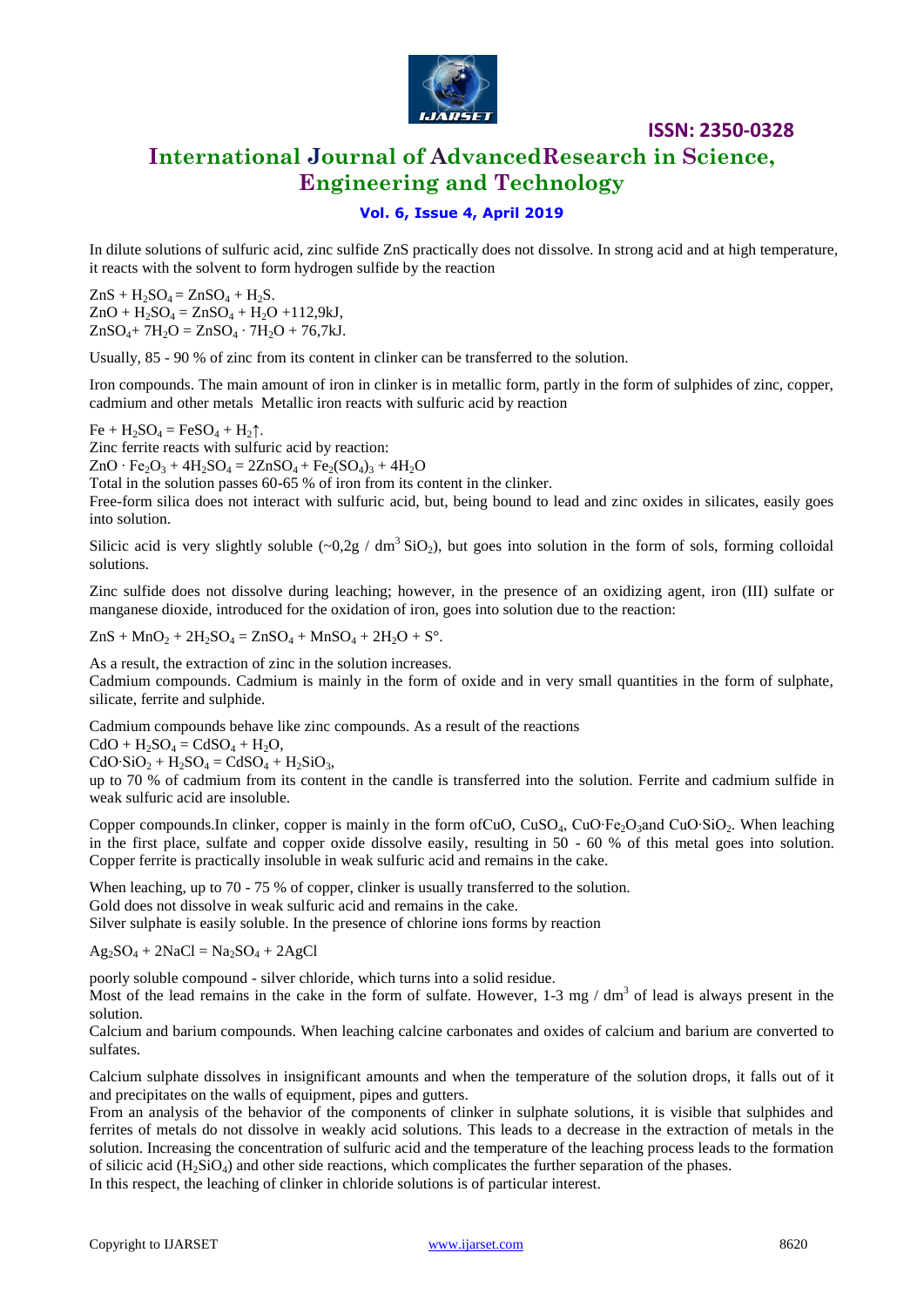

# **International Journal of AdvancedResearch in Science, Engineering and Technology**

## **Vol. 6, Issue 4, April 2019**

In dilute solutions of sulfuric acid, zinc sulfide ZnS practically does not dissolve. In strong acid and at high temperature, it reacts with the solvent to form hydrogen sulfide by the reaction

 $ZnS + H_2SO_4 = ZnSO_4 + H_2S$ .  $ZnO + H_2SO_4 = ZnSO_4 + H_2O + 112,9kJ,$  $ZnSO_4$ + 7H<sub>2</sub>O =  $ZnSO_4 \cdot 7H_2O$  + 76,7kJ.

Usually, 85 - 90 % of zinc from its content in clinker can be transferred to the solution.

Iron compounds. The main amount of iron in clinker is in metallic form, partly in the form of sulphides of zinc, copper, cadmium and other metals Metallic iron reacts with sulfuric acid by reaction

 $Fe + H_2SO_4 = FeSO_4 + H_2$ <sup> $\uparrow$ </sup>.

Zinc ferrite reacts with sulfuric acid by reaction:

 $ZnO \cdot Fe_2O_3 + 4H_2SO_4 = 2ZnSO_4 + Fe_2(SO_4)_3 + 4H_2O$ 

Total in the solution passes 60-65 % of iron from its content in the clinker.

Free-form silica does not interact with sulfuric acid, but, being bound to lead and zinc oxides in silicates, easily goes into solution.

Silicic acid is very slightly soluble  $(-0.2g / dm^3$  SiO<sub>2</sub>), but goes into solution in the form of sols, forming colloidal solutions.

Zinc sulfide does not dissolve during leaching; however, in the presence of an oxidizing agent, iron (III) sulfate or manganese dioxide, introduced for the oxidation of iron, goes into solution due to the reaction:

 $ZnS + MnO_2 + 2H_2SO_4 = ZnSO_4 + MnSO_4 + 2H_2O + S^{\circ}.$ 

As a result, the extraction of zinc in the solution increases. Cadmium compounds. Cadmium is mainly in the form of oxide and in very small quantities in the form of sulphate, silicate, ferrite and sulphide.

Cadmium compounds behave like zinc compounds. As a result of the reactions

 $CdO + H<sub>2</sub>SO<sub>4</sub> = CdSO<sub>4</sub> + H<sub>2</sub>O$ ,

 $CdO·SiO<sub>2</sub> + H<sub>2</sub>SO<sub>4</sub> = CdSO<sub>4</sub> + H<sub>2</sub>SiO<sub>3</sub>$ 

up to 70 % of cadmium from its content in the candle is transferred into the solution. Ferrite and cadmium sulfide in weak sulfuric acid are insoluble.

Copper compounds.In clinker, copper is mainly in the form ofCuO, CuSO<sub>4</sub>, CuO∙Fe<sub>2</sub>O<sub>3</sub>and CuO∙SiO<sub>2</sub>. When leaching in the first place, sulfate and copper oxide dissolve easily, resulting in 50 - 60 % of this metal goes into solution. Copper ferrite is practically insoluble in weak sulfuric acid and remains in the cake.

When leaching, up to 70 - 75 % of copper, clinker is usually transferred to the solution. Gold does not dissolve in weak sulfuric acid and remains in the cake. Silver sulphate is easily soluble. In the presence of chlorine ions forms by reaction

 $Ag_2SO_4 + 2NaCl = Na_2SO_4 + 2AgCl$ 

poorly soluble compound - silver chloride, which turns into a solid residue.

Most of the lead remains in the cake in the form of sulfate. However, 1-3 mg /  $dm<sup>3</sup>$  of lead is always present in the solution.

Calcium and barium compounds. When leaching calcine carbonates and oxides of calcium and barium are converted to sulfates.

Calcium sulphate dissolves in insignificant amounts and when the temperature of the solution drops, it falls out of it and precipitates on the walls of equipment, pipes and gutters.

From an analysis of the behavior of the components of clinker in sulphate solutions, it is visible that sulphides and ferrites of metals do not dissolve in weakly acid solutions. This leads to a decrease in the extraction of metals in the solution. Increasing the concentration of sulfuric acid and the temperature of the leaching process leads to the formation of silicic acid  $(H_2SiO_4)$  and other side reactions, which complicates the further separation of the phases. In this respect, the leaching of clinker in chloride solutions is of particular interest.

Copyright to IJARSET and the state of the state [www.ijarset.com](http://www.ijarset.com/) 8620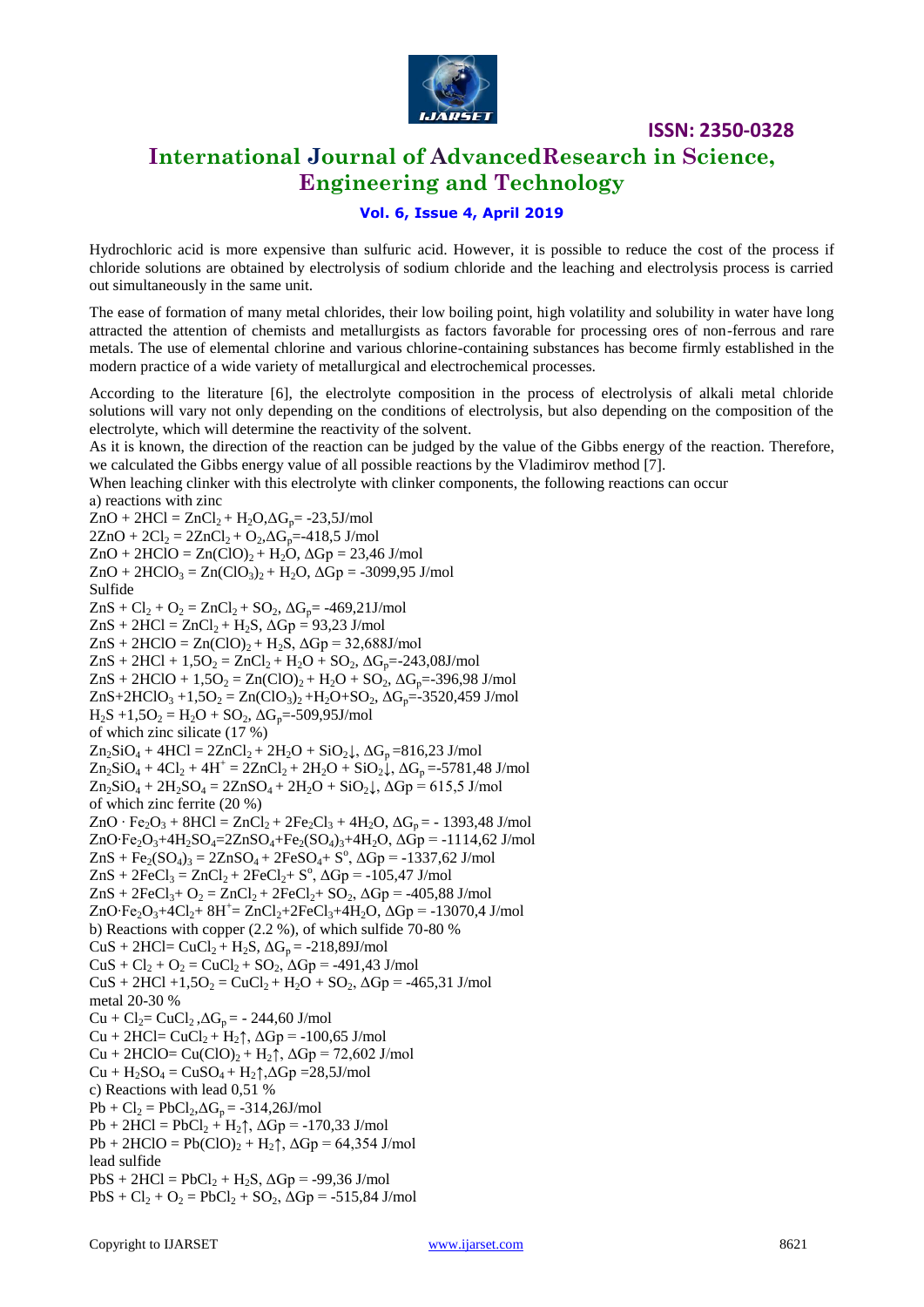

# **International Journal of AdvancedResearch in Science, Engineering and Technology**

## **Vol. 6, Issue 4, April 2019**

Hydrochloric acid is more expensive than sulfuric acid. However, it is possible to reduce the cost of the process if chloride solutions are obtained by electrolysis of sodium chloride and the leaching and electrolysis process is carried out simultaneously in the same unit.

The ease of formation of many metal chlorides, their low boiling point, high volatility and solubility in water have long attracted the attention of chemists and metallurgists as factors favorable for processing ores of non-ferrous and rare metals. The use of elemental chlorine and various chlorine-containing substances has become firmly established in the modern practice of a wide variety of metallurgical and electrochemical processes.

According to the literature [6], the electrolyte composition in the process of electrolysis of alkali metal chloride solutions will vary not only depending on the conditions of electrolysis, but also depending on the composition of the electrolyte, which will determine the reactivity of the solvent.

As it is known, the direction of the reaction can be judged by the value of the Gibbs energy of the reaction. Therefore, we calculated the Gibbs energy value of all possible reactions by the Vladimirov method [7].

When leaching clinker with this electrolyte with clinker components, the following reactions can occur а) reactions with zinc

 $ZnO + 2HCl = ZnCl_2 + H_2O, \Delta G_p = -23,5J/mol$  $2ZnO + 2Cl_2 = 2ZnCl_2 + O_2 \Delta G_p = -418,5$  J/mol  $ZnO + 2HClO = Zn(ClO)<sub>2</sub> + H<sub>2</sub>O$ ,  $\Delta Gp = 23,46$  J/mol  $ZnO + 2HClO<sub>3</sub> = Zn(ClO<sub>3</sub>)<sub>2</sub> + H<sub>2</sub>O$ ,  $\Delta Gp = -3099.95$  J/mol Sulfide  $ZnS + Cl_2 + O_2 = ZnCl_2 + SO_2$ ,  $\Delta G_p = -469,21$ J/mol  $ZnS + 2HCl = ZnCl_2 + H_2S$ ,  $\Delta Gp = 93,23$  J/mol  $ZnS + 2HCIO = Zn(ClO)<sub>2</sub> + H<sub>2</sub>S$ ,  $\Delta Gp = 32,688J/mol$  $ZnS + 2HCl + 1,5O_2 = ZnCl_2 + H_2O + SO_2$ ,  $\Delta G_p = -243,08$ J/mol  $ZnS + 2HClO + 1,5O_2 = Zn(ClO)_2 + H_2O + SO_2$ ,  $\Delta G_p = -396,98$  J/mol  $ZnS+2HCIO_3 +1,5O_2 = Zn(ClO_3)_2 +H_2O+SO_2$ ,  $\Delta G_p = -3520,459$  J/mol  $H_2S + 1,5O_2 = H_2O + SO_2$ ,  $\Delta G_p = -509,95J/mol$ of which zinc silicate (17 %)  $Zn_2SiO_4 + 4HCl = 2ZnCl_2 + 2H_2O + SiO_2$ ,  $\Delta G_p = 816,23$  J/mol  $Zn_2SiO_4 + 4Cl_2 + 4H^+ = 2ZnCl_2 + 2H_2O + SiO_2\downarrow$ ,  $\Delta G_p = -5781,48$  J/mol  $Zn_2SiO_4 + 2H_2SO_4 = 2ZnSO_4 + 2H_2O + SiO_2\downarrow$ ,  $\Delta Gp = 615,5$  J/mol of which zinc ferrite (20 %)  $ZnO \cdot Fe_2O_3 + 8HCl = ZnCl_2 + 2Fe_2Cl_3 + 4H_2O$ ,  $\Delta G_p = -1393,48$  J/mol ZnO⋅Fe<sub>2</sub>O<sub>3</sub>+4H<sub>2</sub>SO<sub>4</sub>=2ZnSO<sub>4</sub>+Fe<sub>2</sub>(SO<sub>4</sub>)<sub>3</sub>+4H<sub>2</sub>O,  $\Delta$ Gp = -1114,62 J/mol  $ZnS + Fe_2(SO_4)_3 = 2ZnSO_4 + 2FeSO_4 + S^0$ ,  $\Delta Gp = -1337,62$  J/mol  $ZnS + 2FeCl_3 = ZnCl_2 + 2FeCl_2 + S^0$ ,  $\Delta Gp = -105,47$  J/mol  $ZnS + 2FeCl<sub>3</sub>+ O<sub>2</sub> = ZnCl<sub>2</sub>+ 2FeCl<sub>2</sub>+ SO<sub>2</sub>, \Delta Gp = -405,88$  J/mol ZnO∙Fe<sub>2</sub>O<sub>3</sub>+4Cl<sub>2</sub>+ 8H<sup>+</sup>= ZnCl<sub>2</sub>+2FeCl<sub>3</sub>+4H<sub>2</sub>O,  $\Delta Gp = -13070, 4$  J/mol b) Reactions with copper (2.2 %), of which sulfide 70-80 %  $CuS + 2HCl = CuCl<sub>2</sub> + H<sub>2</sub>S, \Delta G<sub>p</sub> = -218,89J/mol$  $CuS + Cl_2 + O_2 = CuCl_2 + SO_2$ ,  $\Delta Gp = -491,43$  J/mol  $CuS + 2HCl + 1,5O_2 = CuCl_2 + H_2O + SO_2$ ,  $\Delta Gp = -465,31$  J/mol metal 20-30 %  $Cu + Cl_2 = CuCl_2$ ,  $\Delta G_p = -244,60$  J/mol  $Cu + 2HCl = CuCl<sub>2</sub> + H<sub>2</sub>$ <sup> $\uparrow$ </sup>,  $\Delta Gp = -100,65$  J/mol  $Cu + 2HClO = Cu(ClO)<sub>2</sub> + H<sub>2</sub>$ <sup>†</sup>,  $\Delta Gp = 72,602$  J/mol  $Cu + H<sub>2</sub>SO<sub>4</sub> = CuSO<sub>4</sub> + H<sub>2</sub>†$ , $\Delta G$ p =28,5J/mol c) Reactions with lead 0,51 %  $Pb + Cl_2 = PbCl_2$ ,  $\Delta G_p = -314$ , 26J/mol  $Pb + 2HCl = PbCl<sub>2</sub> + H<sub>2</sub>$ <sup>†</sup>,  $\Delta Gp = -170,33$  J/mol  $Pb + 2HClO = Pb(ClO)<sub>2</sub> + H<sub>2</sub>$ <sup> $\uparrow$ </sup>,  $\Delta Gp = 64,354$  J/mol lead sulfide  $PbS + 2HCl = PbCl<sub>2</sub> + H<sub>2</sub>S$ ,  $\Delta Gp = -99,36$  J/mol  $PbS + Cl_2 + O_2 = PbCl_2 + SO_2$ ,  $\Delta Gp = -515,84$  J/mol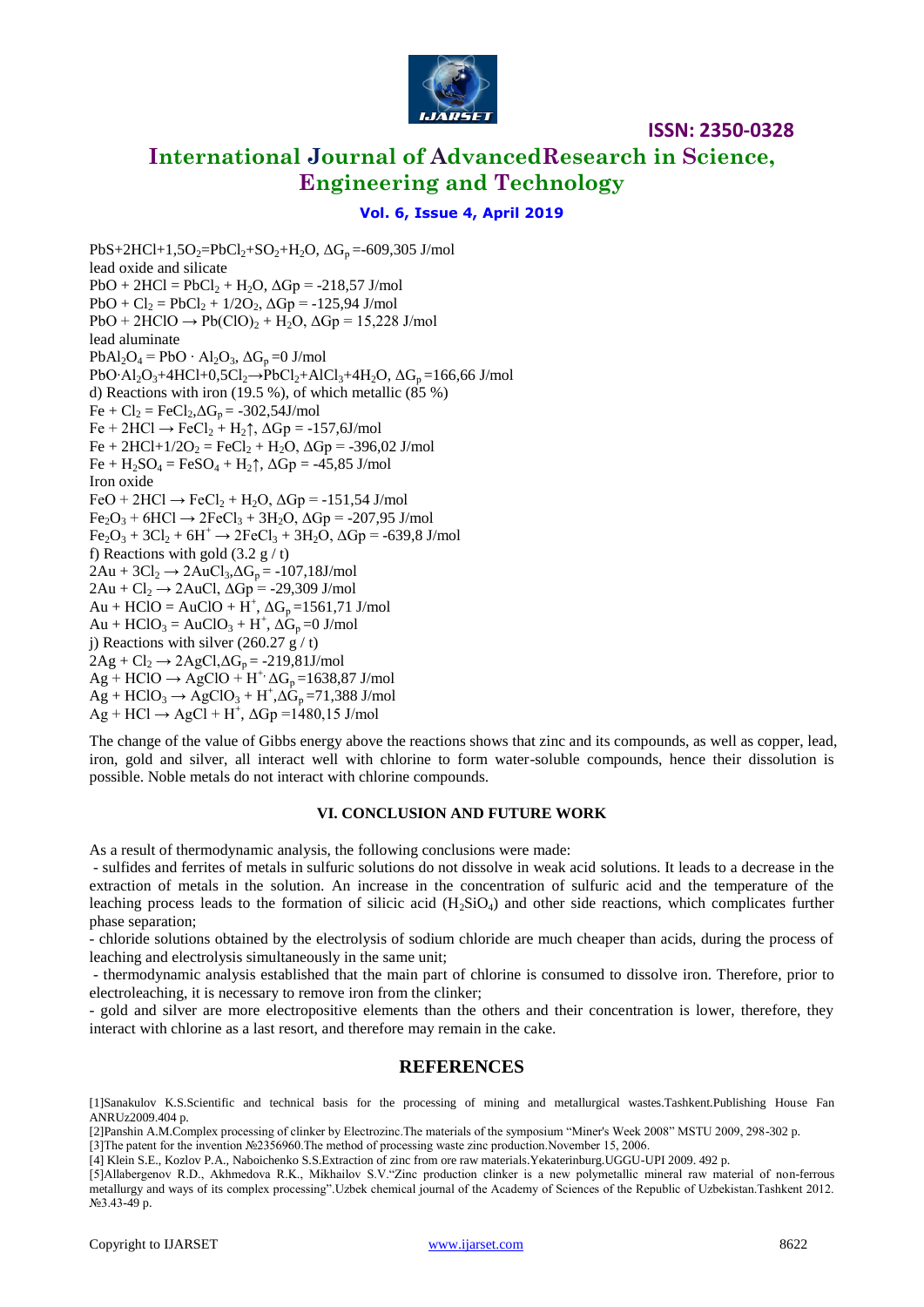

# **International Journal of AdvancedResearch in Science, Engineering and Technology**

### **Vol. 6, Issue 4, April 2019**

 $PbS+2HCl+1,5O_2=PbCl_2+SO_2+H_2O$ ,  $\Delta G_p = -609,305$  J/mol lead oxide and silicate  $PbO + 2HCl = PbCl_2 + H_2O$ ,  $\Delta Gp = -218,57$  J/mol  $PbO + Cl_2 = PbCl_2 + 1/2O_2$ ,  $\Delta Gp = -125,94$  J/mol  $PbO + 2HClO \rightarrow Pb(ClO)$ <sub>2</sub> + H<sub>2</sub>O,  $\Delta Gp = 15,228$  J/mol lead aluminate  $PbAl<sub>2</sub>O<sub>4</sub> = PbO \cdot Al<sub>2</sub>O<sub>3</sub>, \Delta G<sub>p</sub> = 0$  J/mol PbO⋅Al<sub>2</sub>O<sub>3</sub>+4HCl+0,5Cl<sub>2</sub>→PbCl<sub>2</sub>+AlCl<sub>3</sub>+4H<sub>2</sub>O,  $\Delta G_p$ =166,66 J/mol d) Reactions with iron (19.5 %), of which metallic (85 %)  $Fe + Cl_2 = FeCl_2, \Delta G_p = -302,54J/mol$  $Fe + 2HCl \rightarrow FeCl_2 + H_2 \uparrow$ ,  $\Delta Gp = -157, 6J/mol$  $Fe + 2HCl + 1/2O_2 = FeCl_2 + H_2O$ ,  $\Delta Gp = -396,02$  J/mol  $Fe + H<sub>2</sub>SO<sub>4</sub> = FeSO<sub>4</sub> + H<sub>2</sub>$ <sup> $\uparrow$ </sup>,  $\Delta Gp = -45,85$  J/mol Iron oxide  $FeO + 2HCl \rightarrow FeCl<sub>2</sub> + H<sub>2</sub>O$ ,  $\Delta Gp = -151,54$  J/mol  $Fe<sub>2</sub>O<sub>3</sub> + 6HCl \rightarrow 2FeCl<sub>3</sub> + 3H<sub>2</sub>O$ ,  $\Delta Gp = -207,95$  J/mol  $Fe_2O_3 + 3Cl_2 + 6H^+ \rightarrow 2FeCl_3 + 3H_2O$ ,  $\Delta Gp = -639.8$  J/mol f) Reactions with gold  $(3.2 \text{ g}/t)$  $2Au + 3Cl_2 \rightarrow 2AuCl_3 \Delta G_p = -107,18J/mol$  $2Au + Cl_2 \rightarrow 2AuCl$ ,  $\Delta Gp = -29,309$  J/mol  $Au + HClO = AuClO + H^{+}$ ,  $\Delta G_p = 1561,71$  J/mol  $Au + HClO_3 = AuClO_3 + H^+$ ,  $\Delta G_p = 0$  J/mol j) Reactions with silver  $(260.27 \text{ g}/t)$  $2Ag + Cl_2 \rightarrow 2AgCl, \Delta G_p = -219,81J/mol$  $Ag + HClO \rightarrow AgClO + H^+ \Delta G_p = 1638,87$  J/mol  $\overline{Ag}$  + HClO<sub>3</sub>  $\rightarrow$  AgClO<sub>3</sub> + H<sup>+</sup>, $\Delta G_p$ =71,388 J/mol  $\overrightarrow{Ag}$  + HCl  $\rightarrow$  AgCl + H<sup>+</sup>,  $\Delta$ Gp =1480,15 J/mol

The change of the value of Gibbs energy above the reactions shows that zinc and its compounds, as well as copper, lead, iron, gold and silver, all interact well with chlorine to form water-soluble compounds, hence their dissolution is possible. Noble metals do not interact with chlorine compounds.

#### **VI. CONCLUSION AND FUTURE WORK**

As a result of thermodynamic analysis, the following conclusions were made:

- sulfides and ferrites of metals in sulfuric solutions do not dissolve in weak acid solutions. It leads to a decrease in the extraction of metals in the solution. An increase in the concentration of sulfuric acid and the temperature of the leaching process leads to the formation of silicic acid  $(H_2SiO_4)$  and other side reactions, which complicates further phase separation;

- chloride solutions obtained by the electrolysis of sodium chloride are much cheaper than acids, during the process of leaching and electrolysis simultaneously in the same unit;

- thermodynamic analysis established that the main part of chlorine is consumed to dissolve iron. Therefore, prior to electroleaching, it is necessary to remove iron from the clinker;

- gold and silver are more electropositive elements than the others and their concentration is lower, therefore, they interact with chlorine as a last resort, and therefore may remain in the cake.

## **REFERENCES**

[1]Sanakulov K.S.Scientific and technical basis for the processing of mining and metallurgical wastes.Tashkent.Publishing House Fan ANRUz2009.404 p.

[2]Panshin A.M.Complex processing of clinker by Electrozinc.The materials of the symposium "Miner's Week 2008" MSTU 2009, 298-302 p.

[3]The patent for the invention №2356960.The method of processing waste zinc production.November 15, 2006.

[4] Klein S.E., Kozlov P.A., Naboichenko S.S.Extraction of zinc from ore raw materials.Yekaterinburg.UGGU-UPI 2009. 492 p.

[5]Allabergenov R.D., Akhmedova R.K., Mikhailov S.V."Zinc production clinker is a new polymetallic mineral raw material of non-ferrous metallurgy and ways of its complex processing".Uzbek chemical journal of the Academy of Sciences of the Republic of Uzbekistan.Tashkent 2012. №3.43-49 p.